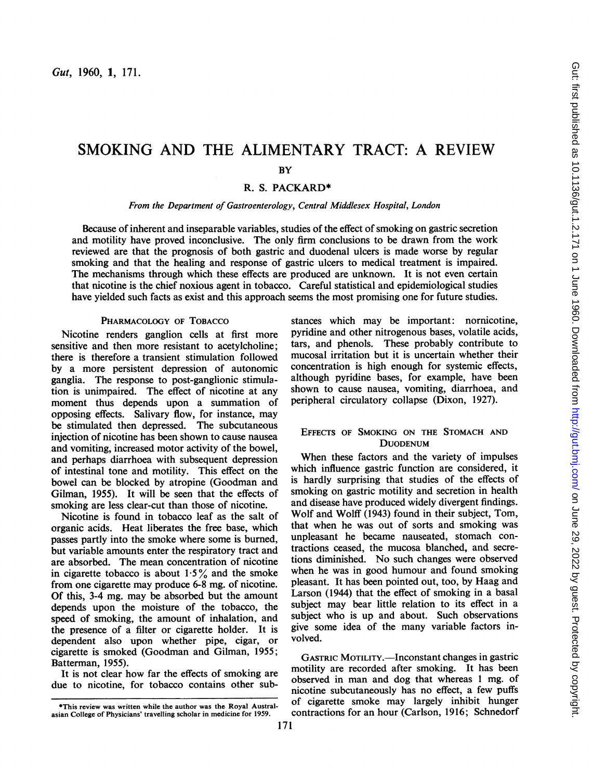# SMOKING AND THE ALIMENTARY TRACT: A REVIEW

#### R. S. PACKARD\*

#### From the Department of Gastroenterology, Central Middlesex Hospital, London

Because of inherent and inseparable variables, studies of the effect of smoking on gastric secretion and motility have proved inconclusive. The only firm conclusions to be drawn from the work reviewed are that the prognosis of both gastric and duodenal ulcers is made worse by regular smoking and that the healing and response of gastric ulcers to medical treatment is impaired. The mechanisms through which these effects are produced are unknown. It is not even certain that nicotine is the chief noxious agent in tobacco. Careful statistical and epidemiological studies have yielded such facts as exist and this approach seems the most promising one for future studies.

#### PHARMACOLOGY OF TOBACCO

Nicotine renders ganglion cells at first more sensitive and then more resistant to acetylcholine; there is therefore a transient stimulation followed by a more persistent depression of autonomic ganglia. The response to post-ganglionic stimulation is unimpaired. The effect of nicotine at any moment thus depends upon a summation of opposing effects. Salivary flow, for instance, may be stimulated then depressed. The subcutaneous injection of nicotine has been shown to cause nausea and vomiting, increased motor activity of the bowel, and perhaps diarrhoea with subsequent depression of intestinal tone and motility. This effect on the bowel can be blocked by atropine (Goodman and Gilman, 1955). It will be seen that the effects of smoking are less clear-cut than those of nicotine.

Nicotine is found in tobacco leaf as the salt of organic acids. Heat liberates the free base, which passes partly into the smoke where some is burned, but variable amounts enter the respiratory tract and are absorbed. The mean concentration of nicotine in cigarette tobacco is about  $1.5\%$  and the smoke from one cigarette may produce 6-8 mg. of nicotine. Of this, 3-4 mg. may be absorbed but the amount depends upon the moisture of the tobacco, the speed of smoking, the amount of inhalation, and the presence of a filter or cigarette holder. It is dependent also upon whether pipe, cigar, or cigarette is smoked (Goodman and Gilman, 1955; Batterman, 1955).

It is not clear how far the effects of smoking are due to nicotine, for tobacco contains other substances which may be important: nornicotine, pyridine and other nitrogenous bases, volatile acids, tars, and phenols. These probably contribute to mucosal irritation but it is uncertain whether their concentration is high enough for systemic effects, although pyridine bases, for example, have been shown to cause nausea, vomiting, diarrhoea, and peripheral circulatory collapse (Dixon, 1927).

#### EFFECTS OF SMOKING ON THE STOMACH AND **DUODENUM**

When these factors and the variety of impulses which influence gastric function are considered, it is hardly surprising that studies of the effects of smoking on gastric motility and secretion in health and disease have produced widely divergent findings. Wolf and Wolff (1943) found in their subject, Tom, that when he was out of sorts and smoking was unpleasant he became nauseated, stomach contractions ceased, the mucosa blanched, and secretions diminished. No such changes were observed when he was in good humour and found smoking pleasant. It has been pointed out, too, by Haag and Larson (1944) that the effect of smoking in a basal subject may bear little relation to its effect in a subject who is up and about. Such observations give some idea of the many variable factors involved.

GASTRIC MOTILITY.—Inconstant changes in gastric motility are recorded after smoking. It has been observed in man and dog that whereas <sup>1</sup> mg. of nicotine subcutaneously has no effect, a few puffs of cigarette smoke may largely inhibit hunger contractions for an hour (Carlson, 1916; Schnedorf

**BY** 

<sup>\*</sup>This review was written while the author was the Royal Australasian College of Physicians' travelling scholar in medicine for 1959.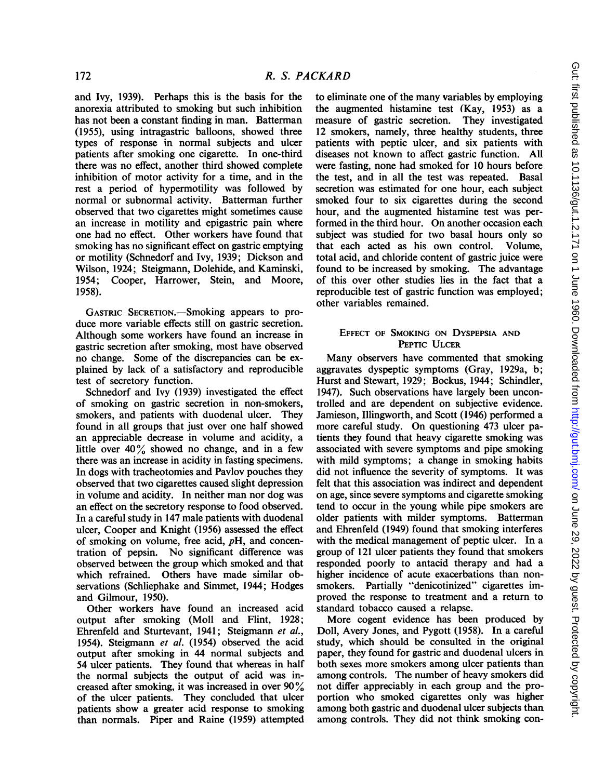Gut: first published as 10.1136/gut.1.2.171 on 1 June 1960. Downloaded from http://gut.bm/ on June 29, 2022 by guest. Protected by copyright. Gut: first published as 10.1136/gut.1.2.171 on 1 June 1960. Downloaded from <http://gut.bmj.com/> on 1 June 29, 2022 by guest. Protected by copyright.

and Ivy, 1939). Perhaps this is the basis for the anorexia attributed to smoking but such inhibition has not been a constant finding in man. Batterman (1955), using intragastric balloons, showed three types of response in normal subjects and ulcer patients after smoking one cigarette. In one-third there was no effect, another third showed complete inhibition of motor activity for a time, and in the rest a period of hypermotility was followed by normal or subnormal activity. Batterman further observed that two cigarettes might sometimes cause an increase in motility and epigastric pain where one had no effect. Other workers have found that smoking has no significant effect on gastric emptying or motility (Schnedorf and Ivy, 1939; Dickson and Wilson, 1924; Steigmann, Dolehide, and Kaminski, 1954; Cooper, Harrower, Stein, and Moore, 1958).

GASTRIC SECRETION.-Smoking appears to produce more variable effects still on gastric secretion. Although some workers have found an increase in gastric secretion after smoking, most have observed no change. Some of the discrepancies can be explained by lack of a satisfactory and reproducible test of secretory function.

Schnedorf and Ivy (1939) investigated the effect of smoking on gastric secretion in non-smokers, smokers, and patients with duodenal ulcer. They found in all groups that just over one half showed an appreciable decrease in volume and acidity, a little over 40% showed no change, and in a few there was an increase in acidity in fasting specimens. In dogs with tracheotomies and Pavlov pouches they observed that two cigarettes caused slight depression in volume and acidity. In neither man nor dog was an effect on the secretory response to food observed. In a careful study in 147 male patients with duodenal ulcer, Cooper and Knight (1956) assessed the effect of smoking on volume, free acid, pH, and concentration of pepsin. No significant difference was observed between the group which smoked and that which refrained. Others have made similar observations (Schliephake and Simmet, 1944; Hodges and Gilmour, 1950).

Other workers have found an increased acid output after smoking (Moll and Flint, 1928; Ehrenfeld and Sturtevant, 1941; Steigmann et al., 1954). Steigmann et al. (1954) observed the acid output after smoking in 44 normal subjects and 54 ulcer patients. They found that whereas in half the normal subjects the output of acid was increased after smoking, it was increased in over <sup>90</sup> % of the ulcer patients. They concluded that ulcer patients show a greater acid response to smoking than normals. Piper and Raine (1959) attempted

to eliminate one of the many variables by employing the augmented histamine test (Kay, 1953) as a measure of gastric secretion. They investigated 12 smokers, namely, three healthy students, three patients with peptic ulcer, and six patients with diseases not known to affect gastric function. All were fasting, none had smoked for 10 hours before the test, and in all the test was repeated. Basal secretion was estimated for one hour, each subject smoked four to six cigarettes during the second hour, and the augmented histamine test was performed in the third hour. On another occasion each subject was studied for two basal hours only so that each acted as his own control. Volume, total acid, and chloride content of gastric juice were found to be increased by smoking. The advantage of this over other studies lies in the fact that a reproducible test of gastric function was employed; other variables remained.

### EFFECT OF SMOKING ON DYSPEPSIA AND PEPTIC ULCER

Many observers have commented that smoking aggravates dyspeptic symptoms (Gray, 1929a, b; Hurst and Stewart, 1929; Bockus, 1944; Schindler, 1947). Such observations have largely been uncontrolled and are dependent on subjective evidence. Jamieson, Illingworth, and Scott (1946) performed a more careful study. On questioning 473 ulcer patients they found that heavy cigarette smoking was associated with severe symptoms and pipe smoking with mild symptoms; a change in smoking habits did not influence the severity of symptoms. It was felt that this association was indirect and dependent on age, since severe symptoms and cigarette smoking tend to occur in the young while pipe smokers are older patients with milder symptoms. Batterman and Ehrenfeld (1949) found that smoking interferes with the medical management of peptic ulcer. In a group of 121 ulcer patients they found that smokers responded poorly to antacid therapy and had a higher incidence of acute exacerbations than nonsmokers. Partially "denicotinized" cigarettes improved the response to treatment and a return to standard tobacco caused a relapse.

More cogent evidence has been produced by Doll, Avery Jones, and Pygott (1958). In a careful study, which should be consulted in the original paper, they found for gastric and duodenal ulcers in both sexes more smokers among ulcer patients than among controls. The number of heavy smokers did not differ appreciably in each group and the proportion who smoked cigarettes only was higher among both gastric and duodenal ulcer subjects than among controls. They did not think smoking con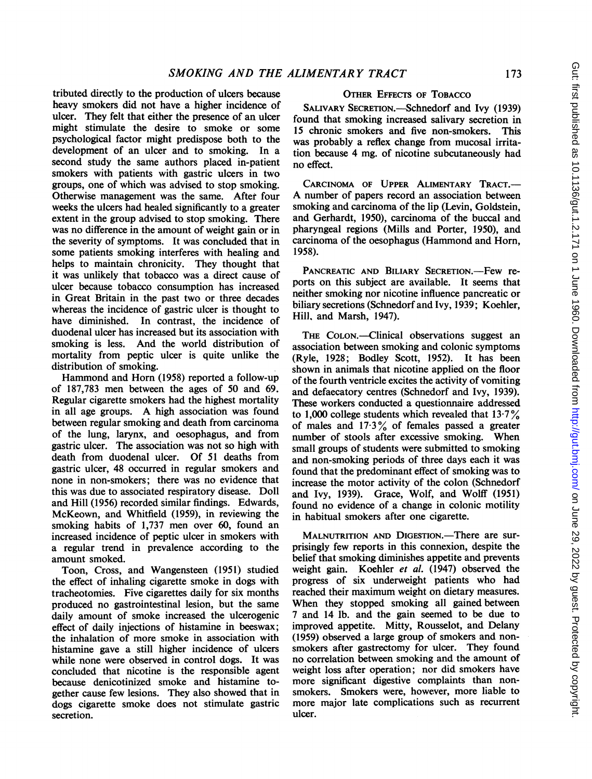tributed directly to the production of ulcers because heavy smokers did not have a higher incidence of ulcer. They felt that either the presence of an ulcer might stimulate the desire to smoke or some psychological factor might predispose both to the development of an ulcer and to smoking. In a second study the same authors placed in-patient smokers with patients with gastric ulcers in two groups, one of which was advised to stop smoking. Otherwise management was the same. After four weeks the ulcers had healed significantly to a greater extent in the group advised to stop smoking. There was no difference in the amount of weight gain or in the severity of symptoms. It was concluded that in some patients smoking interferes with healing and helps to maintain chronicity. They thought that it was unlikely that tobacco was a direct cause of ulcer because tobacco consumption has increased in Great Britain in the past two or three decades whereas the incidence of gastric ulcer is thought to have diminished. In contrast, the incidence of duodenal ulcer has increased but its association with smoking is less. And the world distribution of mortality from peptic ulcer is quite unlike the distribution of smoking.

Hammond and Horn (1958) reported a follow-up of 187,783 men between the ages of 50 and 69. Regular cigarette smokers had the highest mortality in all age groups. A high association was found between regular smoking and death from carcinoma of the lung, larynx, and oesophagus, and from gastric ulcer. The association was not so high with death from duodenal ulcer. Of 51 deaths from gastric ulcer, 48 occurred in regular smokers and none in non-smokers; there was no evidence that this was due to associated respiratory disease. Doll and Hill (1956) recorded similar findings. Edwards, McKeown, and Whitfield (1959), in reviewing the smoking habits of 1,737 men over 60, found an increased incidence of peptic ulcer in smokers with a regular trend in prevalence according to the amount smoked.

Toon, Cross, and Wangensteen (1951) studied the effect of inhaling cigarette smoke in dogs with tracheotomies. Five cigarettes daily for six months produced no gastrointestinal lesion, but the same daily amount of smoke increased the ulcerogenic effect of daily injections of histamine in beeswax; the inhalation of more smoke in association with histamine gave a still higher incidence of ulcers while none were observed in control dogs. It was concluded that nicotine is the responsible agent because denicotinized smoke and histamine together cause few lesions. They also showed that in dogs cigarette smoke does not stimulate gastric secretion.

## OTHER EFFECTS OF TOBACCO

SALIVARY SECRETION.-Schnedorf and Ivy (1939) found that smoking increased salivary secretion in 15 chronic smokers and five non-smokers. This was probably a reflex change from mucosal irritation because 4 mg. of nicotine subcutaneously had no effect.

CARCINOMA OF UPPER ALIMENTARY TRACT. A number of papers record an association between smoking and carcinoma of the lip (Levin, Goldstein, and Gerhardt, 1950), carcinoma of the buccal and pharyngeal regions (Mills and Porter, 1950), and carcinoma of the oesophagus (Hammond and Horn, 1958).

PANCREATIC AND BILIARY SECRETION.-Few reports on this subject are available. It seems that neither smoking nor nicotine influence pancreatic or biliary secretions (Schnedorf and Ivy, 1939; Koehler, Hill. and Marsh, 1947).

THE COLON.—Clinical observations suggest an association between smoking and colonic symptoms (Ryle, 1928; Bodley Scott, 1952). It has been shown in animals that nicotine applied on the floor of the fourth ventricle excites the activity of vomiting and defaecatory centres (Schnedorf and Ivy, 1939). These workers conducted a questionnaire addressed to 1,000 college students which revealed that  $13.7\%$ of males and  $17.3\%$  of females passed a greater number of stools after excessive smoking. When small groups of students were submitted to smoking and non-smoking periods of three days each it was found that the predominant effect of smoking was to increase the motor activity of the colon (Schnedorf and Ivy, 1939). Grace, Wolf, and Wolff (1951) found no evidence of a change in colonic motility in habitual smokers after one cigarette.

MALNUTRITION AND DIGESTION.—There are surprisingly few reports in this connexion, despite the belief that smoking diminishes appetite and prevents weight gain. Koehler *et al.* (1947) observed the progress of six underweight patients who had reached their maximum weight on dietary measures. When they stopped smoking all gained between 7 and 14 lb. and the gain seemed to be due to improved appetite. Mitty, Rousselot, and Delany (1959) observed a large group of smokers and nonsmokers after gastrectomy for ulcer. They found no correlation between smoking and the amount of weight loss after operation; nor did smokers have more significant digestive complaints than nonsmokers. Smokers were, however, more liable to more major late complications such as recurrent ulcer.